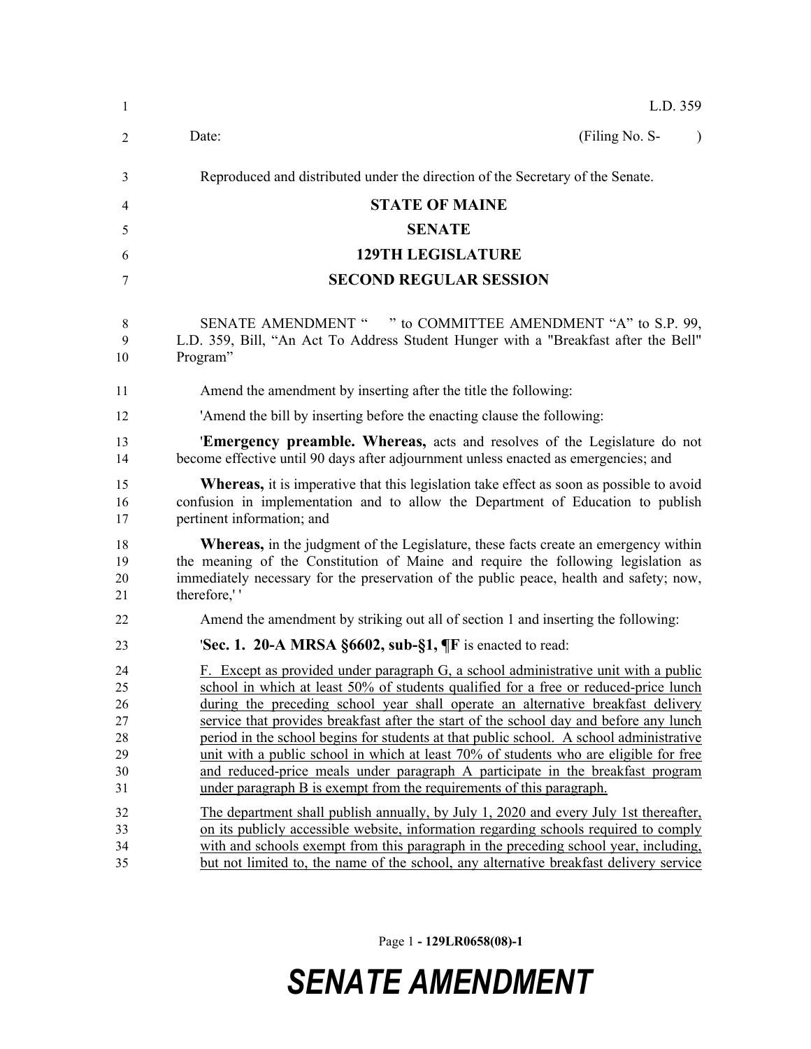| $\mathbf{1}$         | L.D. 359                                                                                                                                                                                                                                                                                   |
|----------------------|--------------------------------------------------------------------------------------------------------------------------------------------------------------------------------------------------------------------------------------------------------------------------------------------|
| 2                    | (Filing No. S-<br>Date:<br>$\lambda$                                                                                                                                                                                                                                                       |
| 3                    | Reproduced and distributed under the direction of the Secretary of the Senate.                                                                                                                                                                                                             |
| 4                    | <b>STATE OF MAINE</b>                                                                                                                                                                                                                                                                      |
| 5                    | <b>SENATE</b>                                                                                                                                                                                                                                                                              |
|                      | <b>129TH LEGISLATURE</b>                                                                                                                                                                                                                                                                   |
| 6                    |                                                                                                                                                                                                                                                                                            |
| 7                    | <b>SECOND REGULAR SESSION</b>                                                                                                                                                                                                                                                              |
| 8<br>9<br>10         | SENATE AMENDMENT " " to COMMITTEE AMENDMENT "A" to S.P. 99,<br>L.D. 359, Bill, "An Act To Address Student Hunger with a "Breakfast after the Bell"<br>Program"                                                                                                                             |
| 11                   | Amend the amendment by inserting after the title the following:                                                                                                                                                                                                                            |
| 12                   | 'Amend the bill by inserting before the enacting clause the following:                                                                                                                                                                                                                     |
| 13<br>14             | <b>Emergency preamble. Whereas,</b> acts and resolves of the Legislature do not<br>become effective until 90 days after adjournment unless enacted as emergencies; and                                                                                                                     |
| 15<br>16<br>17       | <b>Whereas</b> , it is imperative that this legislation take effect as soon as possible to avoid<br>confusion in implementation and to allow the Department of Education to publish<br>pertinent information; and                                                                          |
| 18<br>19<br>20<br>21 | <b>Whereas</b> , in the judgment of the Legislature, these facts create an emergency within<br>the meaning of the Constitution of Maine and require the following legislation as<br>immediately necessary for the preservation of the public peace, health and safety; now,<br>therefore," |
| 22                   | Amend the amendment by striking out all of section 1 and inserting the following:                                                                                                                                                                                                          |
| 23                   | <b>Sec. 1. 20-A MRSA §6602, sub-§1,</b> $\P$ <b>F</b> is enacted to read:                                                                                                                                                                                                                  |
| 24                   | F. Except as provided under paragraph G, a school administrative unit with a public                                                                                                                                                                                                        |
| 25<br>26             | school in which at least 50% of students qualified for a free or reduced-price lunch<br>during the preceding school year shall operate an alternative breakfast delivery                                                                                                                   |
| 27                   | service that provides breakfast after the start of the school day and before any lunch                                                                                                                                                                                                     |
| 28                   | period in the school begins for students at that public school. A school administrative                                                                                                                                                                                                    |
| 29                   | unit with a public school in which at least 70% of students who are eligible for free                                                                                                                                                                                                      |
| 30                   | and reduced-price meals under paragraph A participate in the breakfast program                                                                                                                                                                                                             |
| 31                   | under paragraph B is exempt from the requirements of this paragraph.                                                                                                                                                                                                                       |
| 32                   | The department shall publish annually, by July 1, 2020 and every July 1st thereafter,                                                                                                                                                                                                      |
| 33                   | on its publicly accessible website, information regarding schools required to comply                                                                                                                                                                                                       |
| 34                   | with and schools exempt from this paragraph in the preceding school year, including,                                                                                                                                                                                                       |
| 35                   | but not limited to, the name of the school, any alternative breakfast delivery service                                                                                                                                                                                                     |

Page 1 **- 129LR0658(08)-1**

## *SENATE AMENDMENT*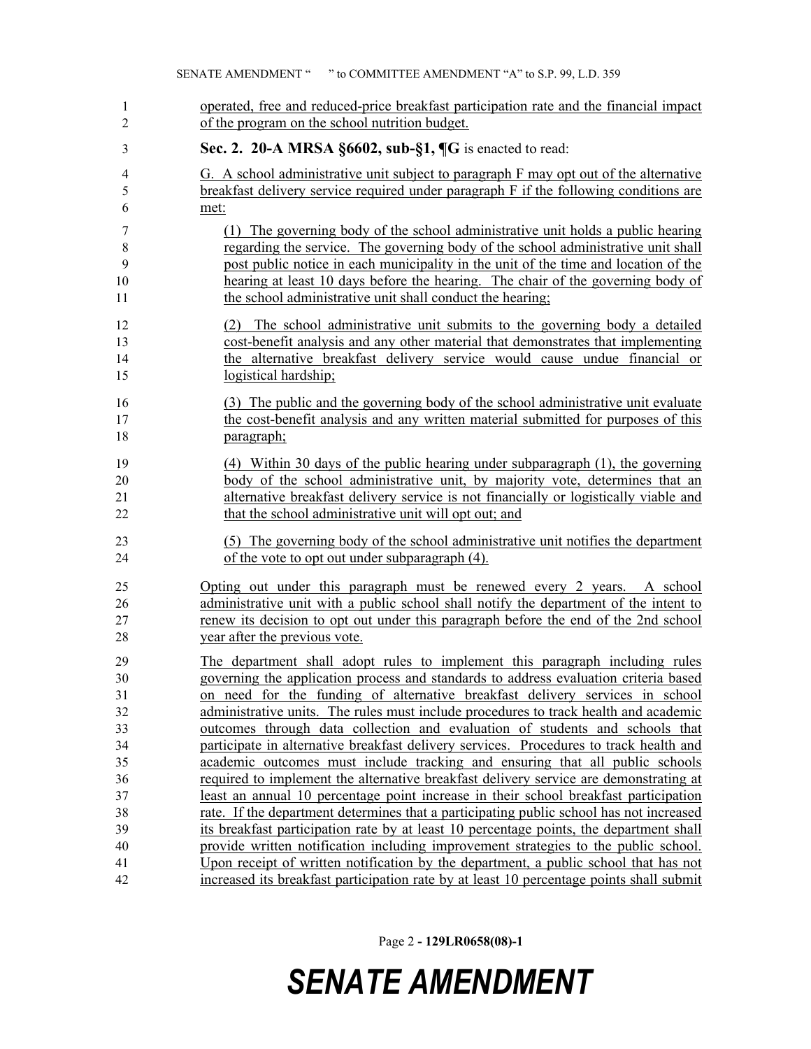| 1                    | operated, free and reduced-price breakfast participation rate and the financial impact                                                                                                                                                                                  |
|----------------------|-------------------------------------------------------------------------------------------------------------------------------------------------------------------------------------------------------------------------------------------------------------------------|
| $\overline{2}$       | of the program on the school nutrition budget.                                                                                                                                                                                                                          |
| 3                    | Sec. 2. 20-A MRSA $\S 6602$ , sub- $\S 1$ , $\P G$ is enacted to read:                                                                                                                                                                                                  |
| 4                    | G. A school administrative unit subject to paragraph F may opt out of the alternative                                                                                                                                                                                   |
| 5                    | breakfast delivery service required under paragraph F if the following conditions are                                                                                                                                                                                   |
| 6                    | met:                                                                                                                                                                                                                                                                    |
| 7                    | (1) The governing body of the school administrative unit holds a public hearing                                                                                                                                                                                         |
| 8                    | regarding the service. The governing body of the school administrative unit shall                                                                                                                                                                                       |
| 9                    | post public notice in each municipality in the unit of the time and location of the                                                                                                                                                                                     |
| 10                   | hearing at least 10 days before the hearing. The chair of the governing body of                                                                                                                                                                                         |
| 11                   | the school administrative unit shall conduct the hearing;                                                                                                                                                                                                               |
| 12<br>13<br>14<br>15 | The school administrative unit submits to the governing body a detailed<br>(2)<br>cost-benefit analysis and any other material that demonstrates that implementing<br>the alternative breakfast delivery service would cause undue financial or<br>logistical hardship; |
| 16                   | (3) The public and the governing body of the school administrative unit evaluate                                                                                                                                                                                        |
| 17                   | the cost-benefit analysis and any written material submitted for purposes of this                                                                                                                                                                                       |
| 18                   | paragraph;                                                                                                                                                                                                                                                              |
| 19                   | (4) Within 30 days of the public hearing under subparagraph (1), the governing                                                                                                                                                                                          |
| 20                   | body of the school administrative unit, by majority vote, determines that an                                                                                                                                                                                            |
| 21                   | alternative breakfast delivery service is not financially or logistically viable and                                                                                                                                                                                    |
| 22                   | that the school administrative unit will opt out; and                                                                                                                                                                                                                   |
| 23                   | (5) The governing body of the school administrative unit notifies the department                                                                                                                                                                                        |
| 24                   | of the vote to opt out under subparagraph (4).                                                                                                                                                                                                                          |
| 25                   | Opting out under this paragraph must be renewed every 2 years. A school                                                                                                                                                                                                 |
| 26                   | administrative unit with a public school shall notify the department of the intent to                                                                                                                                                                                   |
| 27                   | renew its decision to opt out under this paragraph before the end of the 2nd school                                                                                                                                                                                     |
| 28                   | year after the previous vote.                                                                                                                                                                                                                                           |
| 29                   | The department shall adopt rules to implement this paragraph including rules                                                                                                                                                                                            |
| 30                   | governing the application process and standards to address evaluation criteria based                                                                                                                                                                                    |
| 31                   | on need for the funding of alternative breakfast delivery services in school                                                                                                                                                                                            |
| 32                   | administrative units. The rules must include procedures to track health and academic                                                                                                                                                                                    |
| 33                   | outcomes through data collection and evaluation of students and schools that                                                                                                                                                                                            |
| 34                   | participate in alternative breakfast delivery services. Procedures to track health and                                                                                                                                                                                  |
| 35                   | academic outcomes must include tracking and ensuring that all public schools                                                                                                                                                                                            |
| 36                   | required to implement the alternative breakfast delivery service are demonstrating at                                                                                                                                                                                   |
| 37                   | least an annual 10 percentage point increase in their school breakfast participation                                                                                                                                                                                    |
| 38                   | rate. If the department determines that a participating public school has not increased                                                                                                                                                                                 |
| 39                   | its breakfast participation rate by at least 10 percentage points, the department shall                                                                                                                                                                                 |
| 40                   | provide written notification including improvement strategies to the public school.                                                                                                                                                                                     |
| 41                   | Upon receipt of written notification by the department, a public school that has not                                                                                                                                                                                    |
| 42                   | increased its breakfast participation rate by at least 10 percentage points shall submit                                                                                                                                                                                |

Page 2 **- 129LR0658(08)-1**

## *SENATE AMENDMENT*